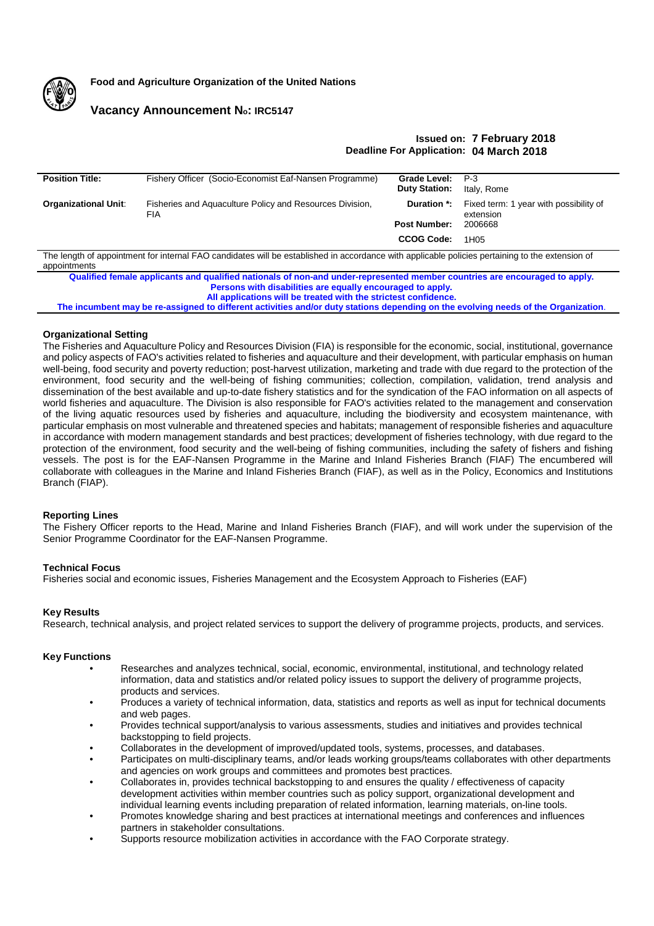

**Food and Agriculture Organization of the United Nations**

# **Vacancy Announcement No: IRC5147**

## **Issued on: 7 February 2018 Deadline For Application: 04 March 2018**

| <b>Position Title:</b>                                                                                                                                          | Fishery Officer (Socio-Economist Eaf-Nansen Programme)                 | Grade Level:         | P-3                                                 |
|-----------------------------------------------------------------------------------------------------------------------------------------------------------------|------------------------------------------------------------------------|----------------------|-----------------------------------------------------|
|                                                                                                                                                                 |                                                                        | <b>Duty Station:</b> | Italy, Rome                                         |
| <b>Organizational Unit:</b>                                                                                                                                     | Fisheries and Aquaculture Policy and Resources Division,<br><b>FIA</b> | Duration *:          | Fixed term: 1 year with possibility of<br>extension |
|                                                                                                                                                                 |                                                                        | <b>Post Number:</b>  | 2006668                                             |
|                                                                                                                                                                 |                                                                        | <b>CCOG Code:</b>    | 1H05                                                |
| The length of appointment for internal FAO candidates will be established in accordance with applicable policies pertaining to the extension of<br>appointments |                                                                        |                      |                                                     |

**Qualified female applicants and qualified nationals of non-and under-represented member countries are encouraged to apply. Persons with disabilities are equally encouraged to apply. All applications will be treated with the strictest confidence.**

**The incumbent may be re-assigned to different activities and/or duty stations depending on the evolving needs of the Organization**.

## **Organizational Setting**

The Fisheries and Aquaculture Policy and Resources Division (FIA) is responsible for the economic, social, institutional, governance and policy aspects of FAO's activities related to fisheries and aquaculture and their development, with particular emphasis on human well-being, food security and poverty reduction; post-harvest utilization, marketing and trade with due regard to the protection of the environment, food security and the well-being of fishing communities; collection, compilation, validation, trend analysis and dissemination of the best available and up-to-date fishery statistics and for the syndication of the FAO information on all aspects of world fisheries and aquaculture. The Division is also responsible for FAO's activities related to the management and conservation of the living aquatic resources used by fisheries and aquaculture, including the biodiversity and ecosystem maintenance, with particular emphasis on most vulnerable and threatened species and habitats; management of responsible fisheries and aquaculture in accordance with modern management standards and best practices; development of fisheries technology, with due regard to the protection of the environment, food security and the well-being of fishing communities, including the safety of fishers and fishing vessels. The post is for the EAF-Nansen Programme in the Marine and Inland Fisheries Branch (FIAF) The encumbered will collaborate with colleagues in the Marine and Inland Fisheries Branch (FIAF), as well as in the Policy, Economics and Institutions Branch (FIAP).

### **Reporting Lines**

The Fishery Officer reports to the Head, Marine and Inland Fisheries Branch (FIAF), and will work under the supervision of the Senior Programme Coordinator for the EAF-Nansen Programme.

### **Technical Focus**

Fisheries social and economic issues, Fisheries Management and the Ecosystem Approach to Fisheries (EAF)

### **Key Results**

Research, technical analysis, and project related services to support the delivery of programme projects, products, and services.

## **Key Functions**

- Researches and analyzes technical, social, economic, environmental, institutional, and technology related information, data and statistics and/or related policy issues to support the delivery of programme projects, products and services.
- Produces a variety of technical information, data, statistics and reports as well as input for technical documents and web pages.
- Provides technical support/analysis to various assessments, studies and initiatives and provides technical backstopping to field projects.
- Collaborates in the development of improved/updated tools, systems, processes, and databases.
- Participates on multi-disciplinary teams, and/or leads working groups/teams collaborates with other departments and agencies on work groups and committees and promotes best practices.
- Collaborates in, provides technical backstopping to and ensures the quality / effectiveness of capacity development activities within member countries such as policy support, organizational development and individual learning events including preparation of related information, learning materials, on-line tools.
- Promotes knowledge sharing and best practices at international meetings and conferences and influences partners in stakeholder consultations.
- Supports resource mobilization activities in accordance with the FAO Corporate strategy.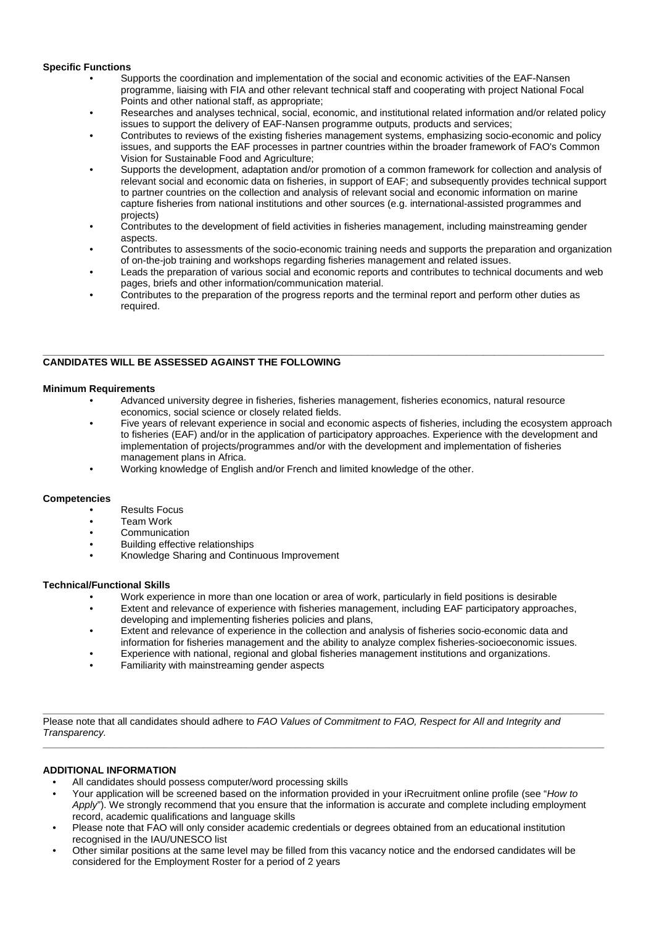## **Specific Functions**

- Supports the coordination and implementation of the social and economic activities of the EAF-Nansen programme, liaising with FIA and other relevant technical staff and cooperating with project National Focal Points and other national staff, as appropriate;
- Researches and analyses technical, social, economic, and institutional related information and/or related policy issues to support the delivery of EAF-Nansen programme outputs, products and services;
- Contributes to reviews of the existing fisheries management systems, emphasizing socio-economic and policy issues, and supports the EAF processes in partner countries within the broader framework of FAO's Common Vision for Sustainable Food and Agriculture;
- Supports the development, adaptation and/or promotion of a common framework for collection and analysis of relevant social and economic data on fisheries, in support of EAF; and subsequently provides technical support to partner countries on the collection and analysis of relevant social and economic information on marine capture fisheries from national institutions and other sources (e.g. international-assisted programmes and projects)
- Contributes to the development of field activities in fisheries management, including mainstreaming gender aspects.
- Contributes to assessments of the socio-economic training needs and supports the preparation and organization of on-the-job training and workshops regarding fisheries management and related issues.
- Leads the preparation of various social and economic reports and contributes to technical documents and web pages, briefs and other information/communication material.
- Contributes to the preparation of the progress reports and the terminal report and perform other duties as required.

#### **\_\_\_\_\_\_\_\_\_\_\_\_\_\_\_\_\_\_\_\_\_\_\_\_\_\_\_\_\_\_\_\_\_\_\_\_\_\_\_\_\_\_\_\_\_\_\_\_\_\_\_\_\_\_\_\_\_\_\_\_\_\_\_\_\_\_\_\_\_\_\_\_\_\_\_\_\_\_\_\_\_\_\_\_\_\_\_\_\_\_\_\_\_\_\_\_\_\_\_\_\_\_ CANDIDATES WILL BE ASSESSED AGAINST THE FOLLOWING**

## **Minimum Requirements**

- Advanced university degree in fisheries, fisheries management, fisheries economics, natural resource economics, social science or closely related fields.
- Five years of relevant experience in social and economic aspects of fisheries, including the ecosystem approach to fisheries (EAF) and/or in the application of participatory approaches. Experience with the development and implementation of projects/programmes and/or with the development and implementation of fisheries management plans in Africa.
- Working knowledge of English and/or French and limited knowledge of the other.

## **Competencies**

- Results Focus
- Team Work
- Communication
- Building effective relationships
- Knowledge Sharing and Continuous Improvement

## **Technical/Functional Skills**

- Work experience in more than one location or area of work, particularly in field positions is desirable
- Extent and relevance of experience with fisheries management, including EAF participatory approaches, developing and implementing fisheries policies and plans,
- Extent and relevance of experience in the collection and analysis of fisheries socio-economic data and information for fisheries management and the ability to analyze complex fisheries-socioeconomic issues.
- Experience with national, regional and global fisheries management institutions and organizations.
- Familiarity with mainstreaming gender aspects

**\_\_\_\_\_\_\_\_\_\_\_\_\_\_\_\_\_\_\_\_\_\_\_\_\_\_\_\_\_\_\_\_\_\_\_\_\_\_\_\_\_\_\_\_\_\_\_\_\_\_\_\_\_\_\_\_\_\_\_\_\_\_\_\_\_\_\_\_\_\_\_\_\_\_\_\_\_\_\_\_\_\_\_\_\_\_\_\_\_\_\_\_\_\_\_\_\_\_\_\_\_\_** Please note that all candidates should adhere to *FAO Values of Commitment to FAO, Respect for All and Integrity and Transparency.*

### **ADDITIONAL INFORMATION**

- All candidates should possess computer/word processing skills
- Your application will be screened based on the information provided in your iRecruitment online profile (see "*How to Apply*"). We strongly recommend that you ensure that the information is accurate and complete including employment record, academic qualifications and language skills

**\_\_\_\_\_\_\_\_\_\_\_\_\_\_\_\_\_\_\_\_\_\_\_\_\_\_\_\_\_\_\_\_\_\_\_\_\_\_\_\_\_\_\_\_\_\_\_\_\_\_\_\_\_\_\_\_\_\_\_\_\_\_\_\_\_\_\_\_\_\_\_\_\_\_\_\_\_\_\_\_\_\_\_\_\_\_\_\_\_\_\_\_\_\_\_\_\_\_\_\_\_\_**

- Please note that FAO will only consider academic credentials or degrees obtained from an educational institution recognised in the IAU/UNESCO list
- Other similar positions at the same level may be filled from this vacancy notice and the endorsed candidates will be considered for the Employment Roster for a period of 2 years